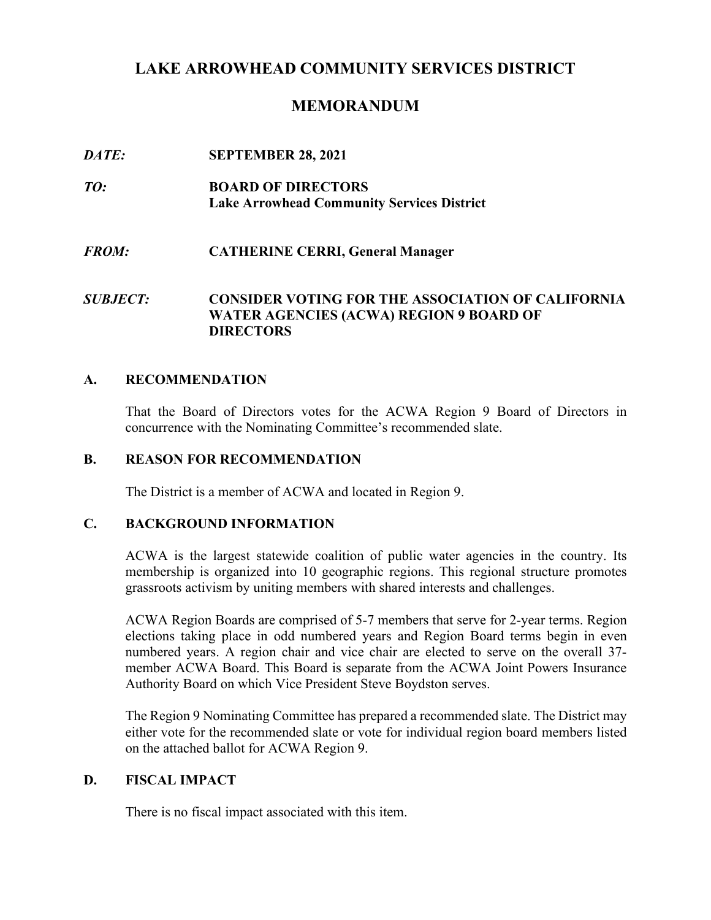# **LAKE ARROWHEAD COMMUNITY SERVICES DISTRICT**

# **MEMORANDUM**

| DATE:           | <b>SEPTEMBER 28, 2021</b>                                                                                                      |
|-----------------|--------------------------------------------------------------------------------------------------------------------------------|
| TO:             | <b>BOARD OF DIRECTORS</b><br><b>Lake Arrowhead Community Services District</b>                                                 |
| <b>FROM:</b>    | <b>CATHERINE CERRI, General Manager</b>                                                                                        |
| <b>SUBJECT:</b> | <b>CONSIDER VOTING FOR THE ASSOCIATION OF CALIFORNIA</b><br><b>WATER AGENCIES (ACWA) REGION 9 BOARD OF</b><br><b>DIRECTORS</b> |

## **A. RECOMMENDATION**

That the Board of Directors votes for the ACWA Region 9 Board of Directors in concurrence with the Nominating Committee's recommended slate.

# **B. REASON FOR RECOMMENDATION**

The District is a member of ACWA and located in Region 9.

## **C. BACKGROUND INFORMATION**

ACWA is the largest statewide coalition of public water agencies in the country. Its membership is organized into 10 geographic regions. This regional structure promotes grassroots activism by uniting members with shared interests and challenges.

ACWA Region Boards are comprised of 5-7 members that serve for 2-year terms. Region elections taking place in odd numbered years and Region Board terms begin in even numbered years. A region chair and vice chair are elected to serve on the overall 37 member ACWA Board. This Board is separate from the ACWA Joint Powers Insurance Authority Board on which Vice President Steve Boydston serves.

The Region 9 Nominating Committee has prepared a recommended slate. The District may either vote for the recommended slate or vote for individual region board members listed on the attached ballot for ACWA Region 9.

# **D. FISCAL IMPACT**

There is no fiscal impact associated with this item.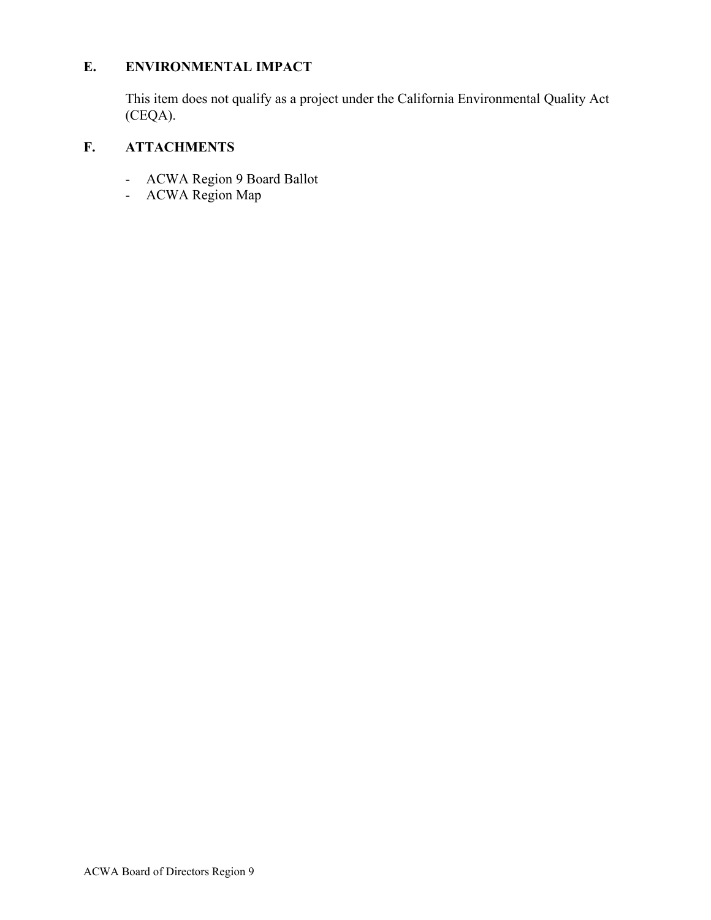# **E. ENVIRONMENTAL IMPACT**

This item does not qualify as a project under the California Environmental Quality Act (CEQA).

# **F. ATTACHMENTS**

- ACWA Region 9 Board Ballot
- ACWA Region Map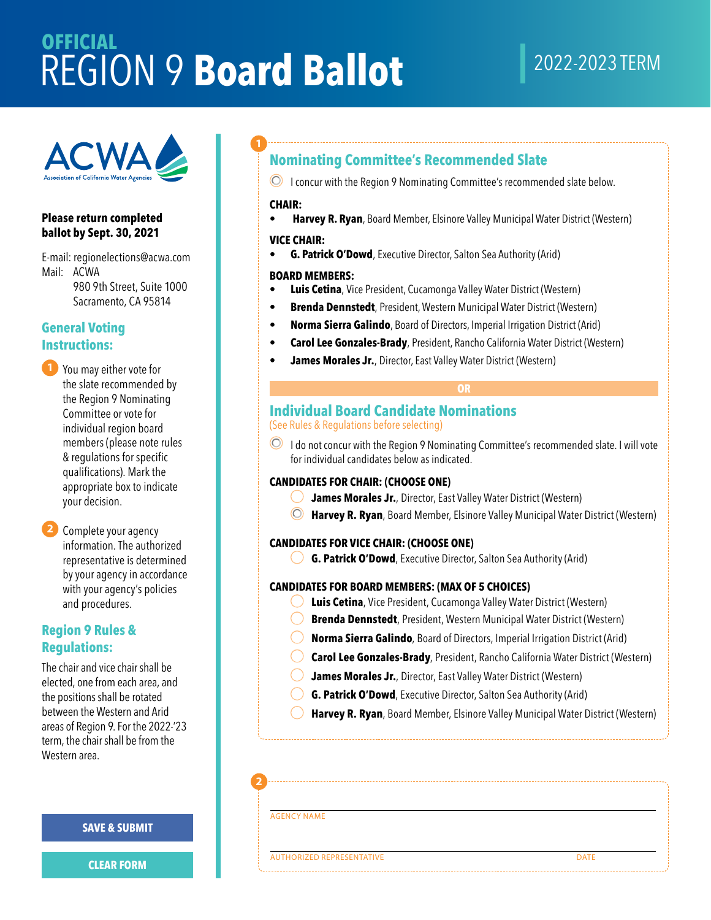# **OFFICIAL** REGION 9 **Board Ballot**

# 2022-2023 TERM



#### **Please return completed ballot by Sept. 30, 2021**

E-mail: [regionelections@acwa.com](mailto:regionelections@acwa.com) Mail: ACWA 980 9th Street, Suite 1000 Sacramento, CA 95814

# **General Voting**

**1** You may eith the slate record the Region 9 **1** You may either vote for the slate recommended by the Region 9 Nominating Committee or vote for individual region board members (please note rules & regulations for specific qualifications). Mark the appropriate box to indicate your decision.

your<br>
2 Com<br>
info<br>
repr **2** Complete your agency information. The authorized representative is determined by your agency in accordance with your agency's policies and procedures.

# **Region 9 Rules & Regulations:**

The chair and vice chair shall be elected, one from each area, and the positions shall be rotated between the Western and Arid areas of Region 9. For the 2022-'23 term, the chair shall be from the Western area.

#### **SAVE & SUBMIT**

**CLEAR FORM**

# **Nominating Committee's Recommended Slate**

**I** concur with the Region 9 Nominating Committee's recommended slate below.

#### **CHAIR:**

**Harvey R. Ryan**, Board Member, Elsinore Valley Municipal Water District (Western)

# **VICE CHAIR:**

**G. Patrick O'Dowd**, Executive Director, Salton Sea Authority (Arid)

#### **BOARD MEMBERS:**

- **Luis Cetina**, Vice President, Cucamonga Valley Water District (Western)
- **Brenda Dennstedt**, President, Western Municipal Water District (Western)
- **Norma Sierra Galindo**, Board of Directors, Imperial Irrigation District (Arid)
- **Carol Lee Gonzales-Brady**, President, Rancho California Water District (Western)
- **James Morales Jr.**, Director, East Valley Water District (Western)

# **Individual Board Candidate Nominations**  (See Rules & Regulations before selecting)

**O** I do not concur with the Region 9 Nominating Committee's recommended slate. I will vote for individual candidates below as indicated.

**OR** 

## **CANDIDATES FOR CHAIR: (CHOOSE ONE)**

- $\bigcirc$ **James Morales Jr.**, Director, East Valley Water District (Western)
- 0 **Harvey R. Ryan**, Board Member, Elsinore Valley Municipal Water District (Western)

#### **CANDIDATES FOR VICE CHAIR: (CHOOSE ONE)**

0 **G. Patrick O'Dowd**, Executive Director, Salton Sea Authority (Arid)

#### **CANDIDATES FOR BOARD MEMBERS: (MAX OF 5 CHOICES)**

- $\bigcirc$ **Luis Cetina**, Vice President, Cucamonga Valley Water District (Western)
- $\bigcirc$ **Brenda Dennstedt**, President, Western Municipal Water District (Western)
- $\bigcirc$ **Norma Sierra Galindo**, Board of Directors, Imperial Irrigation District (Arid)
- $\bigcirc$ **Carol Lee Gonzales-Brady**, President, Rancho California Water District (Western)
- $\bigcirc$ **James Morales Jr.**, Director, East Valley Water District (Western)
- $\bigcirc$ **G. Patrick O'Dowd**, Executive Director, Salton Sea Authority (Arid)
- $\bigcirc$ **Harvey R. Ryan**, Board Member, Elsinore Valley Municipal Water District (Western)

'"---------------------------------------------------------------------------------------------------------------------------------------------'

•-----------------------------------------------------------------------------------------------------------------------------------------,,

 $\mathbf{I}^{\text{max}}_{\text{max}} = \mathbf{I}^{\text{max}}_{\text{max}} = \mathbf{I}^{\text{max}}_{\text{max}} = \mathbf{I}^{\text{max}}_{\text{max}} = \mathbf{I}^{\text{max}}_{\text{max}} = \mathbf{I}^{\text{max}}_{\text{max}} = \mathbf{I}^{\text{max}}_{\text{max}} = \mathbf{I}^{\text{max}}_{\text{max}} = \mathbf{I}^{\text{max}}_{\text{max}} = \mathbf{I}^{\text{max}}_{\text{max}} = \mathbf{I}^{\text{max}}_{\text{max}} = \mathbf{I}^{\text{max$ 

AGENCY NAME

**2**

**AUTHORIZED REPRESENTATIVE DATE**